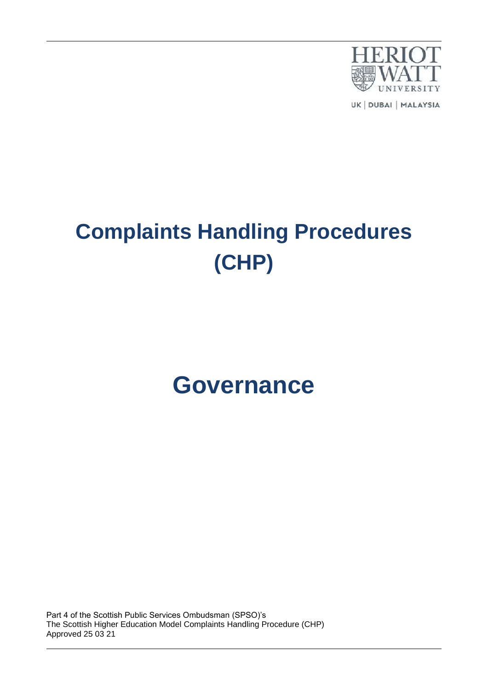

UK | DUBAI | MALAYSIA

# **Complaints Handling Procedures (CHP)**

# **Governance**

Part 4 of the Scottish Public Services Ombudsman (SPSO)'s The Scottish Higher Education Model Complaints Handling Procedure (CHP) Approved 25 03 21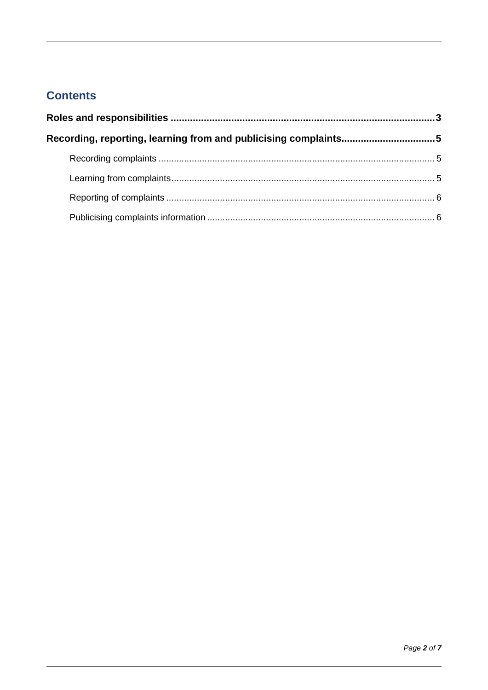# **Contents**

| Recording, reporting, learning from and publicising complaints5 |  |
|-----------------------------------------------------------------|--|
|                                                                 |  |
|                                                                 |  |
|                                                                 |  |
|                                                                 |  |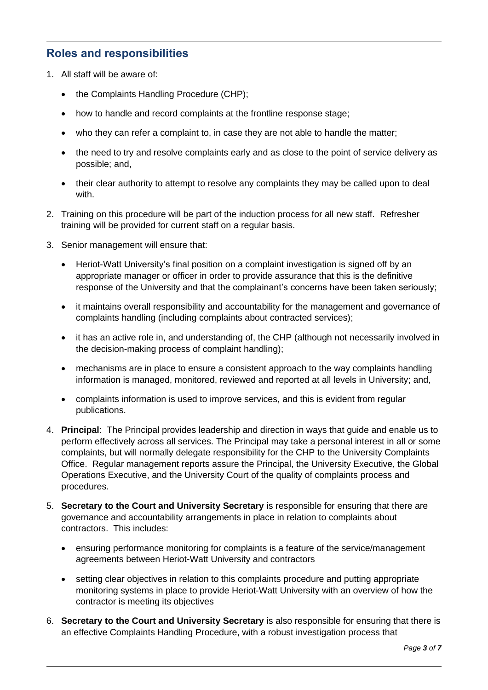### <span id="page-2-0"></span>**Roles and responsibilities**

- 1. All staff will be aware of:
	- the Complaints Handling Procedure (CHP);
	- how to handle and record complaints at the frontline response stage;
	- who they can refer a complaint to, in case they are not able to handle the matter;
	- the need to try and resolve complaints early and as close to the point of service delivery as possible; and,
	- their clear authority to attempt to resolve any complaints they may be called upon to deal with.
- 2. Training on this procedure will be part of the induction process for all new staff. Refresher training will be provided for current staff on a regular basis.
- 3. Senior management will ensure that:
	- Heriot-Watt University's final position on a complaint investigation is signed off by an appropriate manager or officer in order to provide assurance that this is the definitive response of the University and that the complainant's concerns have been taken seriously;
	- it maintains overall responsibility and accountability for the management and governance of complaints handling (including complaints about contracted services);
	- it has an active role in, and understanding of, the CHP (although not necessarily involved in the decision-making process of complaint handling);
	- mechanisms are in place to ensure a consistent approach to the way complaints handling information is managed, monitored, reviewed and reported at all levels in University; and,
	- complaints information is used to improve services, and this is evident from regular publications.
- 4. **Principal**: The Principal provides leadership and direction in ways that guide and enable us to perform effectively across all services. The Principal may take a personal interest in all or some complaints, but will normally delegate responsibility for the CHP to the University Complaints Office. Regular management reports assure the Principal, the University Executive, the Global Operations Executive, and the University Court of the quality of complaints process and procedures.
- 5. **Secretary to the Court and University Secretary** is responsible for ensuring that there are governance and accountability arrangements in place in relation to complaints about contractors. This includes:
	- ensuring performance monitoring for complaints is a feature of the service/management agreements between Heriot-Watt University and contractors
	- setting clear objectives in relation to this complaints procedure and putting appropriate monitoring systems in place to provide Heriot-Watt University with an overview of how the contractor is meeting its objectives
- 6. **Secretary to the Court and University Secretary** is also responsible for ensuring that there is an effective Complaints Handling Procedure, with a robust investigation process that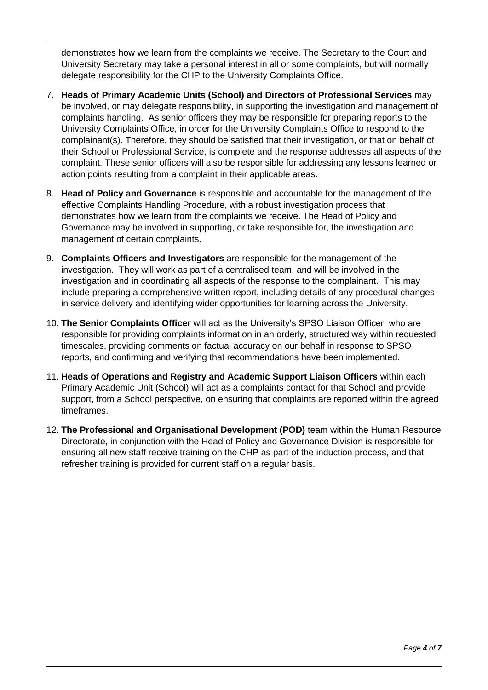demonstrates how we learn from the complaints we receive. The Secretary to the Court and University Secretary may take a personal interest in all or some complaints, but will normally delegate responsibility for the CHP to the University Complaints Office.

- 7. **Heads of Primary Academic Units (School) and Directors of Professional Services** may be involved, or may delegate responsibility, in supporting the investigation and management of complaints handling. As senior officers they may be responsible for preparing reports to the University Complaints Office, in order for the University Complaints Office to respond to the complainant(s). Therefore, they should be satisfied that their investigation, or that on behalf of their School or Professional Service, is complete and the response addresses all aspects of the complaint. These senior officers will also be responsible for addressing any lessons learned or action points resulting from a complaint in their applicable areas.
- 8. **Head of Policy and Governance** is responsible and accountable for the management of the effective Complaints Handling Procedure, with a robust investigation process that demonstrates how we learn from the complaints we receive. The Head of Policy and Governance may be involved in supporting, or take responsible for, the investigation and management of certain complaints.
- 9. **Complaints Officers and Investigators** are responsible for the management of the investigation. They will work as part of a centralised team, and will be involved in the investigation and in coordinating all aspects of the response to the complainant. This may include preparing a comprehensive written report, including details of any procedural changes in service delivery and identifying wider opportunities for learning across the University.
- 10. **The Senior Complaints Officer** will act as the University's SPSO Liaison Officer, who are responsible for providing complaints information in an orderly, structured way within requested timescales, providing comments on factual accuracy on our behalf in response to SPSO reports, and confirming and verifying that recommendations have been implemented.
- 11. **Heads of Operations and Registry and Academic Support Liaison Officers** within each Primary Academic Unit (School) will act as a complaints contact for that School and provide support, from a School perspective, on ensuring that complaints are reported within the agreed timeframes.
- 12. **The Professional and Organisational Development (POD)** team within the Human Resource Directorate, in conjunction with the Head of Policy and Governance Division is responsible for ensuring all new staff receive training on the CHP as part of the induction process, and that refresher training is provided for current staff on a regular basis.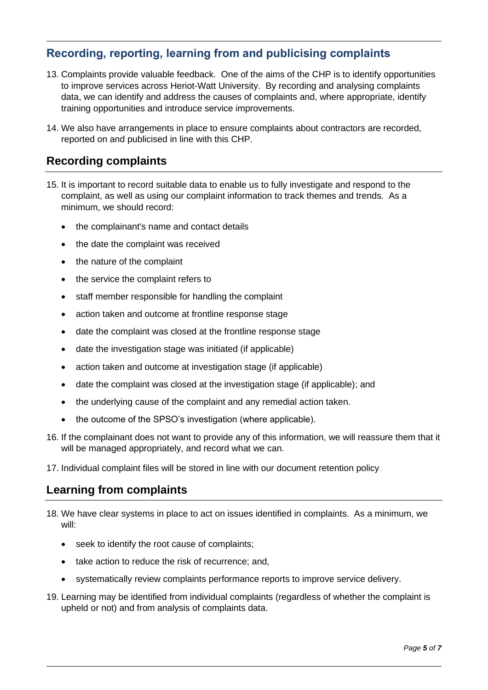# <span id="page-4-0"></span>**Recording, reporting, learning from and publicising complaints**

- 13. Complaints provide valuable feedback. One of the aims of the CHP is to identify opportunities to improve services across Heriot-Watt University. By recording and analysing complaints data, we can identify and address the causes of complaints and, where appropriate, identify training opportunities and introduce service improvements.
- 14. We also have arrangements in place to ensure complaints about contractors are recorded, reported on and publicised in line with this CHP.

### <span id="page-4-1"></span>**Recording complaints**

- 15. It is important to record suitable data to enable us to fully investigate and respond to the complaint, as well as using our complaint information to track themes and trends. As a minimum, we should record:
	- the complainant's name and contact details
	- the date the complaint was received
	- the nature of the complaint
	- the service the complaint refers to
	- staff member responsible for handling the complaint
	- action taken and outcome at frontline response stage
	- date the complaint was closed at the frontline response stage
	- date the investigation stage was initiated (if applicable)
	- action taken and outcome at investigation stage (if applicable)
	- date the complaint was closed at the investigation stage (if applicable); and
	- the underlying cause of the complaint and any remedial action taken.
	- the outcome of the SPSO's investigation (where applicable).
- 16. If the complainant does not want to provide any of this information, we will reassure them that it will be managed appropriately, and record what we can.
- 17. Individual complaint files will be stored in line with our document retention policy.

#### <span id="page-4-2"></span>**Learning from complaints**

- 18. We have clear systems in place to act on issues identified in complaints. As a minimum, we will:
	- seek to identify the root cause of complaints:
	- take action to reduce the risk of recurrence; and,
	- systematically review complaints performance reports to improve service delivery.
- 19. Learning may be identified from individual complaints (regardless of whether the complaint is upheld or not) and from analysis of complaints data.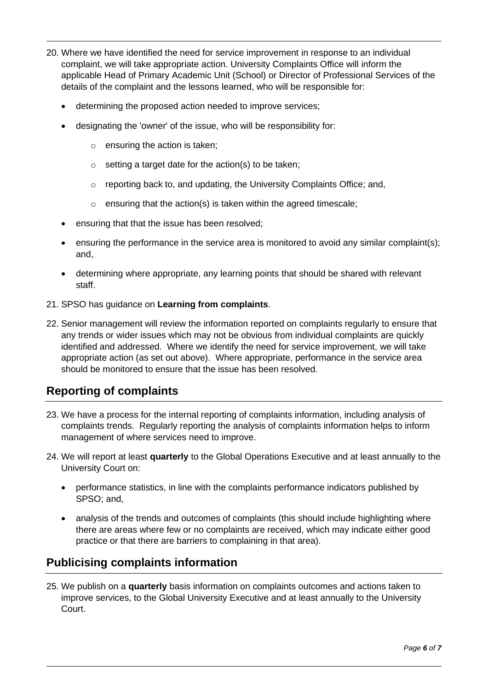- 20. Where we have identified the need for service improvement in response to an individual complaint, we will take appropriate action. University Complaints Office will inform the applicable Head of Primary Academic Unit (School) or Director of Professional Services of the details of the complaint and the lessons learned, who will be responsible for:
	- determining the proposed action needed to improve services;
	- designating the 'owner' of the issue, who will be responsibility for:
		- o ensuring the action is taken;
		- $\circ$  setting a target date for the action(s) to be taken;
		- o reporting back to, and updating, the University Complaints Office; and,
		- $\circ$  ensuring that the action(s) is taken within the agreed timescale;
	- ensuring that that the issue has been resolved;
	- ensuring the performance in the service area is monitored to avoid any similar complaint(s); and,
	- determining where appropriate, any learning points that should be shared with relevant staff.
- 21. SPSO has guidance on **Learning from complaints**.
- 22. Senior management will review the information reported on complaints regularly to ensure that any trends or wider issues which may not be obvious from individual complaints are quickly identified and addressed. Where we identify the need for service improvement, we will take appropriate action (as set out above). Where appropriate, performance in the service area should be monitored to ensure that the issue has been resolved.

# <span id="page-5-0"></span>**Reporting of complaints**

- 23. We have a process for the internal reporting of complaints information, including analysis of complaints trends. Regularly reporting the analysis of complaints information helps to inform management of where services need to improve.
- 24. We will report at least **quarterly** to the Global Operations Executive and at least annually to the University Court on:
	- performance statistics, in line with the complaints performance indicators published by SPSO; and,
	- analysis of the trends and outcomes of complaints (this should include highlighting where there are areas where few or no complaints are received, which may indicate either good practice or that there are barriers to complaining in that area).

#### <span id="page-5-1"></span>**Publicising complaints information**

25. We publish on a **quarterly** basis information on complaints outcomes and actions taken to improve services, to the Global University Executive and at least annually to the University Court.